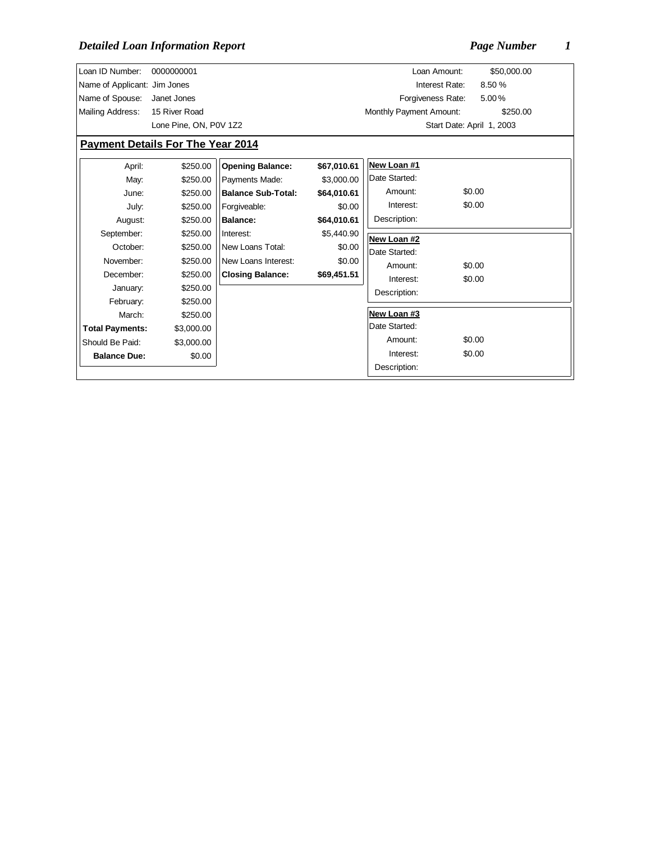| Loan ID Number:                          | 0000000001             |                           |             | Loan Amount:            | \$50,000.00               |  |  |  |
|------------------------------------------|------------------------|---------------------------|-------------|-------------------------|---------------------------|--|--|--|
| Name of Applicant: Jim Jones             |                        |                           |             | Interest Rate:          | 8.50 %                    |  |  |  |
| Name of Spouse:                          | Janet Jones            |                           |             | Forgiveness Rate:       | 5.00%                     |  |  |  |
| Mailing Address:                         | 15 River Road          |                           |             | Monthly Payment Amount: | \$250.00                  |  |  |  |
|                                          | Lone Pine, ON, P0V 1Z2 |                           |             |                         | Start Date: April 1, 2003 |  |  |  |
| <b>Payment Details For The Year 2014</b> |                        |                           |             |                         |                           |  |  |  |
| April:                                   | \$250.00               | <b>Opening Balance:</b>   | \$67,010.61 | New Loan #1             |                           |  |  |  |
| May:                                     | \$250.00               | Payments Made:            | \$3,000.00  | Date Started:           |                           |  |  |  |
| June:                                    | \$250.00               | <b>Balance Sub-Total:</b> | \$64,010.61 | Amount:                 | \$0.00                    |  |  |  |
| July:                                    | \$250.00               | Forgiveable:              | \$0.00      | Interest:               | \$0.00                    |  |  |  |
| August:                                  | \$250.00               | <b>Balance:</b>           | \$64,010.61 | Description:            |                           |  |  |  |
| September:                               | \$250.00               | Interest:                 | \$5,440.90  | New Loan #2             |                           |  |  |  |
| October:                                 | \$250.00               | New Loans Total:          | \$0.00      | Date Started:           |                           |  |  |  |
| November:                                | \$250.00               | New Loans Interest:       | \$0.00      | Amount:                 | \$0.00                    |  |  |  |
| December:                                | \$250.00               | <b>Closing Balance:</b>   | \$69,451.51 | Interest:               | \$0.00                    |  |  |  |
| January:                                 | \$250.00               |                           |             | Description:            |                           |  |  |  |
| February:                                | \$250.00               |                           |             |                         |                           |  |  |  |
| March:                                   | \$250.00               |                           |             | New Loan #3             |                           |  |  |  |
| <b>Total Payments:</b>                   | \$3,000.00             |                           |             | Date Started:           |                           |  |  |  |
| Should Be Paid:                          | \$3,000.00             |                           |             | Amount:                 | \$0.00                    |  |  |  |
| <b>Balance Due:</b>                      | \$0.00                 |                           |             | Interest:               | \$0.00                    |  |  |  |
|                                          |                        |                           |             | Description:            |                           |  |  |  |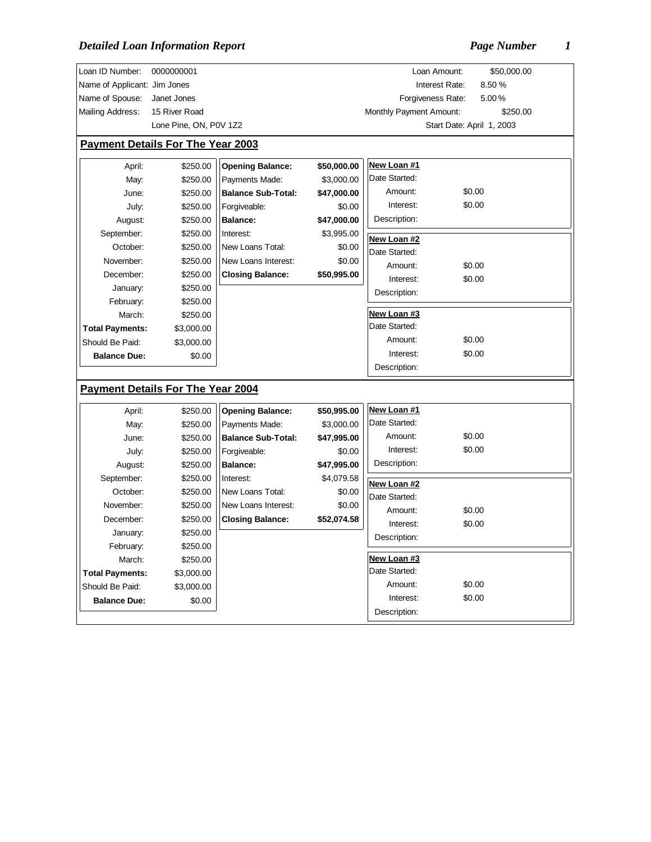| Loan ID Number:                           | 0000000001                               |                                             |                       |                         | \$50,000.00<br>Loan Amount: |
|-------------------------------------------|------------------------------------------|---------------------------------------------|-----------------------|-------------------------|-----------------------------|
| Name of Applicant: Jim Jones              |                                          |                                             |                       |                         | 8.50%<br>Interest Rate:     |
| Name of Spouse:                           | Janet Jones                              |                                             |                       |                         | Forgiveness Rate:<br>5.00%  |
| Mailing Address:                          | 15 River Road                            |                                             |                       | Monthly Payment Amount: | \$250.00                    |
|                                           | Lone Pine, ON, P0V 1Z2                   |                                             |                       |                         | Start Date: April 1, 2003   |
|                                           | <b>Payment Details For The Year 2003</b> |                                             |                       |                         |                             |
|                                           |                                          |                                             |                       |                         |                             |
| April:                                    | \$250.00                                 | <b>Opening Balance:</b>                     | \$50,000.00           | New Loan #1             |                             |
| May:                                      | \$250.00                                 | Payments Made:                              | \$3,000.00            | Date Started:           |                             |
| June:                                     | \$250.00                                 | <b>Balance Sub-Total:</b>                   | \$47,000.00           | Amount:                 | \$0.00                      |
| July:                                     | \$250.00                                 | Forgiveable:                                | \$0.00                | Interest:               | \$0.00                      |
| August:                                   | \$250.00                                 | <b>Balance:</b>                             | \$47,000.00           | Description:            |                             |
| September:                                | \$250.00                                 | Interest:                                   | \$3,995.00            | New Loan #2             |                             |
| October:                                  | \$250.00                                 | New Loans Total:                            | \$0.00                | Date Started:           |                             |
| November:                                 | \$250.00                                 | New Loans Interest:                         | \$0.00                | Amount:                 | \$0.00                      |
| December:                                 | \$250.00                                 | <b>Closing Balance:</b>                     | \$50,995.00           | Interest:               | \$0.00                      |
| January:                                  | \$250.00                                 |                                             |                       | Description:            |                             |
| February:                                 | \$250.00                                 |                                             |                       |                         |                             |
| March:                                    | \$250.00                                 |                                             |                       | New Loan #3             |                             |
| <b>Total Payments:</b>                    | \$3,000.00                               |                                             |                       | Date Started:           |                             |
| Should Be Paid:                           | \$3,000.00                               |                                             |                       | Amount:                 | \$0.00                      |
| <b>Balance Due:</b>                       | \$0.00                                   |                                             |                       | Interest:               | \$0.00                      |
|                                           |                                          |                                             |                       | Description:            |                             |
|                                           | <b>Payment Details For The Year 2004</b> |                                             |                       |                         |                             |
|                                           |                                          |                                             |                       | New Loan #1             |                             |
| April:                                    | \$250.00                                 | <b>Opening Balance:</b>                     | \$50,995.00           | Date Started:           |                             |
| May:                                      | \$250.00                                 | Payments Made:<br><b>Balance Sub-Total:</b> | \$3,000.00            | Amount:                 | \$0.00                      |
| June:                                     | \$250.00                                 |                                             | \$47,995.00           | Interest:               | \$0.00                      |
| July:                                     | \$250.00                                 | Forgiveable:<br><b>Balance:</b>             | \$0.00<br>\$47,995.00 | Description:            |                             |
| August:<br>September:                     | \$250.00<br>\$250.00                     | Interest:                                   | \$4,079.58            |                         |                             |
| October:                                  | \$250.00                                 | New Loans Total:                            | \$0.00                | New Loan #2             |                             |
| November:                                 | \$250.00                                 | New Loans Interest:                         | \$0.00                | Date Started:           |                             |
| December:                                 | \$250.00                                 | <b>Closing Balance:</b>                     | \$52,074.58           | Amount:                 | \$0.00                      |
|                                           | \$250.00                                 |                                             |                       | Interest:               | \$0.00                      |
| January:                                  |                                          |                                             |                       | Description:            |                             |
| February:<br>March:                       | \$250.00<br>\$250.00                     |                                             |                       | New Loan #3             |                             |
|                                           | \$3,000.00                               |                                             |                       | Date Started:           |                             |
| <b>Total Payments:</b><br>Should Be Paid: |                                          |                                             |                       | Amount:                 | \$0.00                      |
| <b>Balance Due:</b>                       | \$3,000.00<br>\$0.00                     |                                             |                       | Interest:               | \$0.00                      |
|                                           |                                          |                                             |                       | Description:            |                             |
|                                           |                                          |                                             |                       |                         |                             |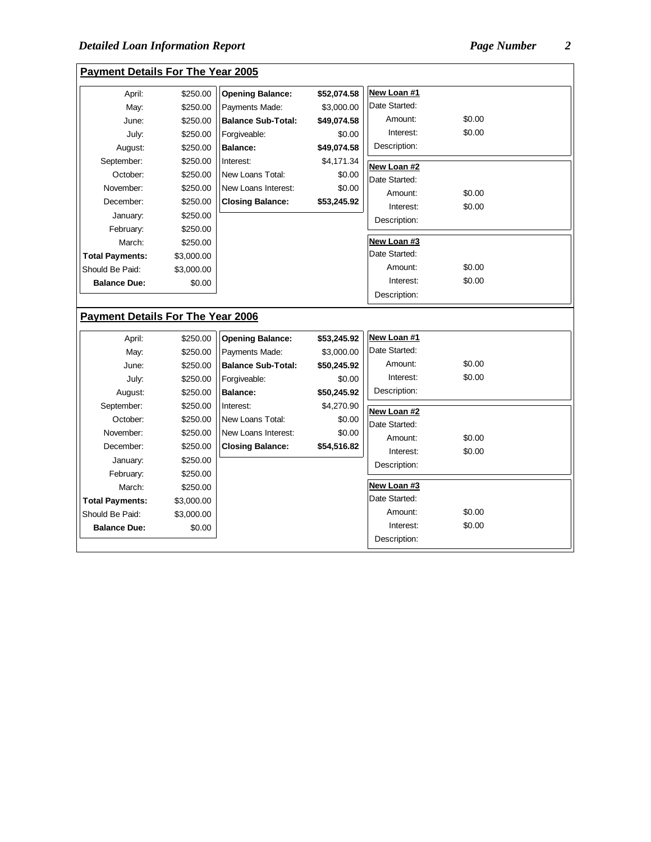| April:                                                 | \$250.00             | <b>Opening Balance:</b>   | \$52,074.58 | New Loan #1          |                  |  |
|--------------------------------------------------------|----------------------|---------------------------|-------------|----------------------|------------------|--|
| May:                                                   | \$250.00             | Payments Made:            | \$3,000.00  | Date Started:        |                  |  |
| June:                                                  | \$250.00             | <b>Balance Sub-Total:</b> | \$49,074.58 | Amount:              | \$0.00           |  |
| July:                                                  | \$250.00             | Forgiveable:              | \$0.00      | Interest:            | \$0.00           |  |
| August:                                                | \$250.00             | <b>Balance:</b>           | \$49,074.58 | Description:         |                  |  |
| September:                                             | \$250.00             | Interest:                 | \$4,171.34  | New Loan #2          |                  |  |
| October:                                               | \$250.00             | New Loans Total:          | \$0.00      | Date Started:        |                  |  |
| November:                                              | \$250.00             | New Loans Interest:       | \$0.00      | Amount:              | \$0.00           |  |
| December:                                              | \$250.00             | <b>Closing Balance:</b>   | \$53,245.92 | Interest:            | \$0.00           |  |
| January:                                               | \$250.00             |                           |             | Description:         |                  |  |
| February:                                              | \$250.00             |                           |             |                      |                  |  |
| March:                                                 | \$250.00             |                           |             | New Loan #3          |                  |  |
| <b>Total Payments:</b>                                 | \$3,000.00           |                           |             | Date Started:        |                  |  |
| Should Be Paid:                                        | \$3,000.00           |                           |             | Amount:              | \$0.00           |  |
|                                                        |                      |                           |             |                      |                  |  |
| <b>Balance Due:</b>                                    | \$0.00               |                           |             | Interest:            | \$0.00           |  |
|                                                        |                      |                           |             | Description:         |                  |  |
|                                                        |                      |                           |             |                      |                  |  |
| April:                                                 | \$250.00             | <b>Opening Balance:</b>   | \$53,245.92 | New Loan #1          |                  |  |
| May:                                                   | \$250.00             | Payments Made:            | \$3,000.00  | Date Started:        |                  |  |
| June:                                                  | \$250.00             | <b>Balance Sub-Total:</b> | \$50,245.92 | Amount:              | \$0.00           |  |
| July:                                                  | \$250.00             | Forgiveable:              | \$0.00      | Interest:            | \$0.00           |  |
| August:                                                | \$250.00             | <b>Balance:</b>           | \$50,245.92 | Description:         |                  |  |
| <b>Payment Details For The Year 2006</b><br>September: | \$250.00             | Interest:                 | \$4,270.90  | New Loan #2          |                  |  |
| October:                                               | \$250.00             | New Loans Total:          | \$0.00      | Date Started:        |                  |  |
| November:                                              | \$250.00             | New Loans Interest:       | \$0.00      | Amount:              | \$0.00           |  |
| December:                                              | \$250.00             | <b>Closing Balance:</b>   | \$54,516.82 | Interest:            | \$0.00           |  |
| January:                                               | \$250.00             |                           |             | Description:         |                  |  |
| February:                                              | \$250.00             |                           |             |                      |                  |  |
| March:                                                 | \$250.00             |                           |             | New Loan #3          |                  |  |
|                                                        | \$3,000.00           |                           |             | Date Started:        |                  |  |
| <b>Total Payments:</b><br>Should Be Paid:              | \$3,000.00<br>\$0.00 |                           |             | Amount:<br>Interest: | \$0.00<br>\$0.00 |  |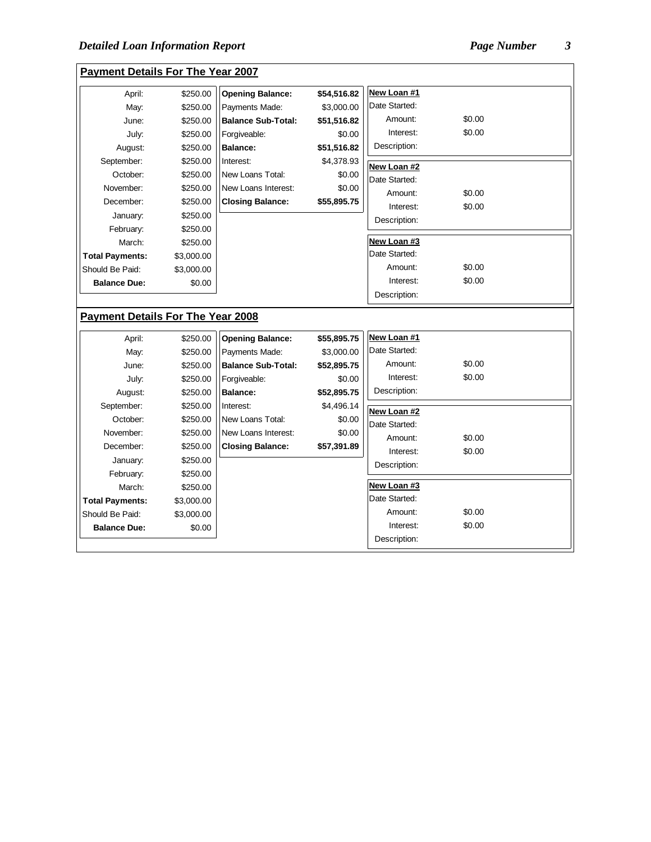| <b>Payment Details For The Year 2007</b> |            |                           |             |               |        |  |
|------------------------------------------|------------|---------------------------|-------------|---------------|--------|--|
| April:                                   | \$250.00   | <b>Opening Balance:</b>   | \$54,516.82 | New Loan #1   |        |  |
| May:                                     | \$250.00   | Payments Made:            | \$3,000.00  | Date Started: |        |  |
| June:                                    | \$250.00   | <b>Balance Sub-Total:</b> | \$51,516.82 | Amount:       | \$0.00 |  |
| July:                                    | \$250.00   | Forgiveable:              | \$0.00      | Interest:     | \$0.00 |  |
| August:                                  | \$250.00   | <b>Balance:</b>           | \$51,516.82 | Description:  |        |  |
| September:                               | \$250.00   | Interest:                 | \$4,378.93  | New Loan #2   |        |  |
| October:                                 | \$250.00   | New Loans Total:          | \$0.00      | Date Started: |        |  |
| November:                                | \$250.00   | New Loans Interest:       | \$0.00      | Amount:       | \$0.00 |  |
| December:                                | \$250.00   | <b>Closing Balance:</b>   | \$55,895.75 | Interest:     | \$0.00 |  |
| January:                                 | \$250.00   |                           |             | Description:  |        |  |
| February:                                | \$250.00   |                           |             |               |        |  |
| March:                                   | \$250.00   |                           |             | New Loan #3   |        |  |
| <b>Total Payments:</b>                   | \$3,000.00 |                           |             | Date Started: |        |  |
| Should Be Paid:                          | \$3,000.00 |                           |             | Amount:       | \$0.00 |  |
| <b>Balance Due:</b>                      | \$0.00     |                           |             | Interest:     | \$0.00 |  |
|                                          |            |                           |             | Description:  |        |  |
| <b>Payment Details For The Year 2008</b> |            |                           |             |               |        |  |
| April:                                   | \$250.00   | <b>Opening Balance:</b>   | \$55,895.75 | New Loan #1   |        |  |
| May:                                     |            |                           |             |               |        |  |
| June:                                    | \$250.00   | Payments Made:            | \$3,000.00  | Date Started: |        |  |
|                                          | \$250.00   | <b>Balance Sub-Total:</b> | \$52,895.75 | Amount:       | \$0.00 |  |
| July:                                    | \$250.00   | Forgiveable:              | \$0.00      | Interest:     | \$0.00 |  |
| August:                                  | \$250.00   | <b>Balance:</b>           | \$52,895.75 | Description:  |        |  |
| September:                               | \$250.00   | Interest:                 | \$4,496.14  |               |        |  |
| October:                                 | \$250.00   | New Loans Total:          | \$0.00      | New Loan #2   |        |  |
| November:                                | \$250.00   | New Loans Interest:       | \$0.00      | Date Started: |        |  |
| December:                                | \$250.00   | <b>Closing Balance:</b>   | \$57,391.89 | Amount:       | \$0.00 |  |
| January:                                 | \$250.00   |                           |             | Interest:     | \$0.00 |  |
| February:                                | \$250.00   |                           |             | Description:  |        |  |
| March:                                   | \$250.00   |                           |             | New Loan #3   |        |  |
| <b>Total Payments:</b>                   | \$3,000.00 |                           |             | Date Started: |        |  |
| Should Be Paid:                          | \$3,000.00 |                           |             | Amount:       | \$0.00 |  |
| <b>Balance Due:</b>                      | \$0.00     |                           |             | Interest:     | \$0.00 |  |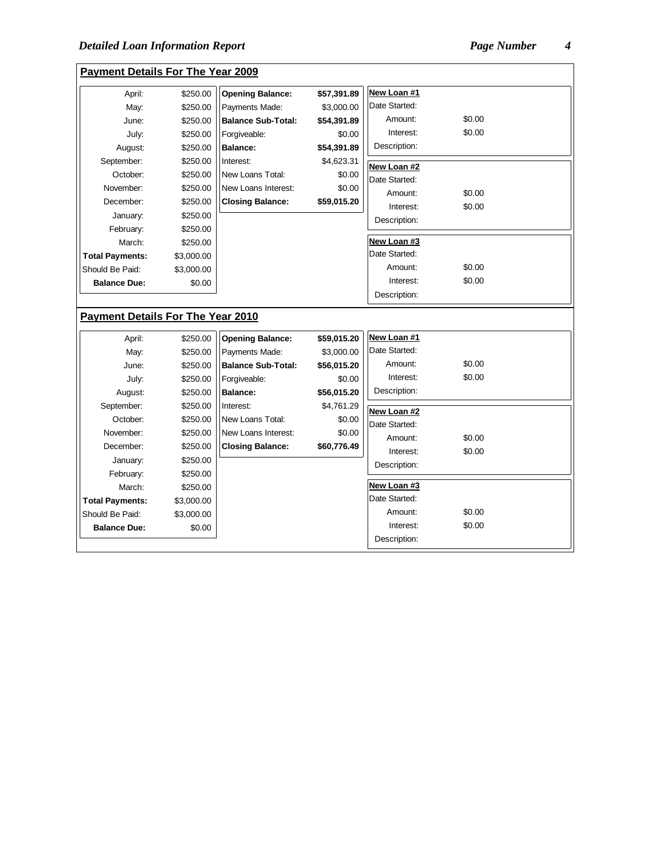**Payment Details For The Year 2009**

| April:                                   | \$250.00   | <b>Opening Balance:</b>   | \$57,391.89 | New Loan #1               |        |  |
|------------------------------------------|------------|---------------------------|-------------|---------------------------|--------|--|
| May:                                     | \$250.00   | Payments Made:            | \$3,000.00  | Date Started:             |        |  |
| June:                                    | \$250.00   | <b>Balance Sub-Total:</b> | \$54,391.89 | Amount:                   | \$0.00 |  |
| July:                                    | \$250.00   | Forgiveable:              | \$0.00      | Interest:                 | \$0.00 |  |
| August:                                  | \$250.00   | <b>Balance:</b>           | \$54,391.89 | Description:              |        |  |
| September:                               | \$250.00   | Interest:                 | \$4,623.31  | New Loan #2               |        |  |
| October:                                 | \$250.00   | New Loans Total:          | \$0.00      | Date Started:             |        |  |
| November:                                | \$250.00   | New Loans Interest:       | \$0.00      | Amount:                   | \$0.00 |  |
| December:                                | \$250.00   | <b>Closing Balance:</b>   | \$59,015.20 | Interest:                 | \$0.00 |  |
| January:                                 | \$250.00   |                           |             | Description:              |        |  |
| February:                                | \$250.00   |                           |             |                           |        |  |
| March:                                   | \$250.00   |                           |             | New Loan #3               |        |  |
| <b>Total Payments:</b>                   | \$3,000.00 |                           |             | Date Started:             |        |  |
| Should Be Paid:                          | \$3,000.00 |                           |             | Amount:                   | \$0.00 |  |
| <b>Balance Due:</b>                      | \$0.00     |                           |             | Interest:                 | \$0.00 |  |
|                                          |            |                           |             | Description:              |        |  |
| <b>Payment Details For The Year 2010</b> |            |                           |             |                           |        |  |
| April:                                   | \$250.00   | <b>Opening Balance:</b>   | \$59,015.20 | New Loan #1               |        |  |
| May:                                     | \$250.00   | Payments Made:            | \$3,000.00  | Date Started:             |        |  |
| June:                                    | \$250.00   | <b>Balance Sub-Total:</b> | \$56,015.20 | Amount:                   | \$0.00 |  |
| July:                                    | \$250.00   | Forgiveable:              | \$0.00      | Interest:                 | \$0.00 |  |
| August:                                  | \$250.00   | <b>Balance:</b>           | \$56,015.20 | Description:              |        |  |
| September:                               | \$250.00   | Interest:                 | \$4,761.29  | New Loan #2               |        |  |
| October:                                 | \$250.00   | New Loans Total:          |             |                           |        |  |
|                                          |            |                           | \$0.00      |                           |        |  |
| November:                                | \$250.00   | New Loans Interest:       | \$0.00      | Date Started:             |        |  |
| December:                                | \$250.00   | <b>Closing Balance:</b>   | \$60,776.49 | Amount:                   | \$0.00 |  |
| January:                                 | \$250.00   |                           |             | Interest:                 | \$0.00 |  |
| February:                                | \$250.00   |                           |             | Description:              |        |  |
| March:                                   | \$250.00   |                           |             | New Loan #3               |        |  |
| <b>Total Payments:</b>                   | \$3,000.00 |                           |             | Date Started:             |        |  |
| Should Be Paid:                          | \$3,000.00 |                           |             | Amount:                   | \$0.00 |  |
| <b>Balance Due:</b>                      | \$0.00     |                           |             | Interest:<br>Description: | \$0.00 |  |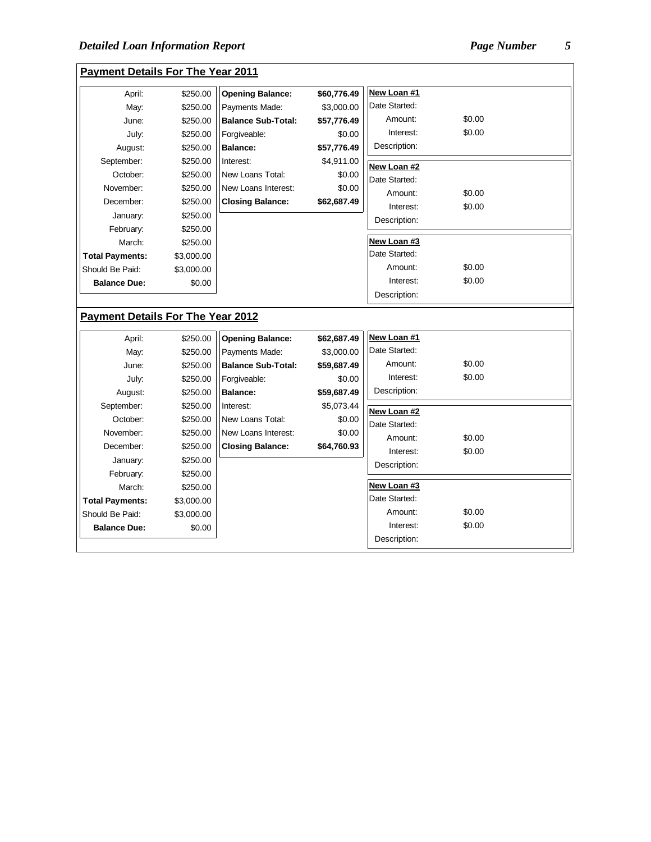| <b>Payment Details For The Year 2011</b> |            |                           |             |               |        |  |
|------------------------------------------|------------|---------------------------|-------------|---------------|--------|--|
| April:                                   | \$250.00   | <b>Opening Balance:</b>   | \$60,776.49 | New Loan #1   |        |  |
| May:                                     | \$250.00   | Payments Made:            | \$3,000.00  | Date Started: |        |  |
| June:                                    | \$250.00   | <b>Balance Sub-Total:</b> | \$57,776.49 | Amount:       | \$0.00 |  |
| July:                                    | \$250.00   | Forgiveable:              | \$0.00      | Interest:     | \$0.00 |  |
| August:                                  | \$250.00   | <b>Balance:</b>           | \$57,776.49 | Description:  |        |  |
| September:                               | \$250.00   | Interest:                 | \$4,911.00  | New Loan #2   |        |  |
| October:                                 | \$250.00   | New Loans Total:          | \$0.00      | Date Started: |        |  |
| November:                                | \$250.00   | New Loans Interest:       | \$0.00      | Amount:       | \$0.00 |  |
| December:                                | \$250.00   | <b>Closing Balance:</b>   | \$62,687.49 | Interest:     | \$0.00 |  |
| January:                                 | \$250.00   |                           |             | Description:  |        |  |
| February:                                | \$250.00   |                           |             |               |        |  |
| March:                                   | \$250.00   |                           |             | New Loan #3   |        |  |
| <b>Total Payments:</b>                   | \$3,000.00 |                           |             | Date Started: |        |  |
| Should Be Paid:                          | \$3,000.00 |                           |             | Amount:       | \$0.00 |  |
| <b>Balance Due:</b>                      | \$0.00     |                           |             | Interest:     | \$0.00 |  |
|                                          |            |                           |             | Description:  |        |  |
| <b>Payment Details For The Year 2012</b> |            |                           |             |               |        |  |
| April:                                   | \$250.00   | <b>Opening Balance:</b>   | \$62,687.49 | New Loan #1   |        |  |
| May:                                     | \$250.00   | Payments Made:            | \$3,000.00  | Date Started: |        |  |
| June:                                    | \$250.00   | <b>Balance Sub-Total:</b> | \$59,687.49 | Amount:       | \$0.00 |  |
| July:                                    | \$250.00   | Forgiveable:              | \$0.00      | Interest:     | \$0.00 |  |
| August:                                  | \$250.00   | <b>Balance:</b>           | \$59,687.49 | Description:  |        |  |
| September:                               | \$250.00   | Interest:                 | \$5,073.44  | New Loan #2   |        |  |
| October:                                 | \$250.00   | New Loans Total:          | \$0.00      | Date Started: |        |  |
| November:                                | \$250.00   | New Loans Interest:       | \$0.00      | Amount:       | \$0.00 |  |
| December:                                | \$250.00   | <b>Closing Balance:</b>   | \$64,760.93 | Interest:     | \$0.00 |  |
| January:                                 | \$250.00   |                           |             | Description:  |        |  |
| February:                                | \$250.00   |                           |             |               |        |  |
| March:                                   | \$250.00   |                           |             | New Loan #3   |        |  |
| <b>Total Payments:</b>                   | \$3,000.00 |                           |             | Date Started: |        |  |
| Should Be Paid:                          | \$3,000.00 |                           |             | Amount:       | \$0.00 |  |
| <b>Balance Due:</b>                      | \$0.00     |                           |             | Interest:     | \$0.00 |  |
|                                          |            |                           |             | Description:  |        |  |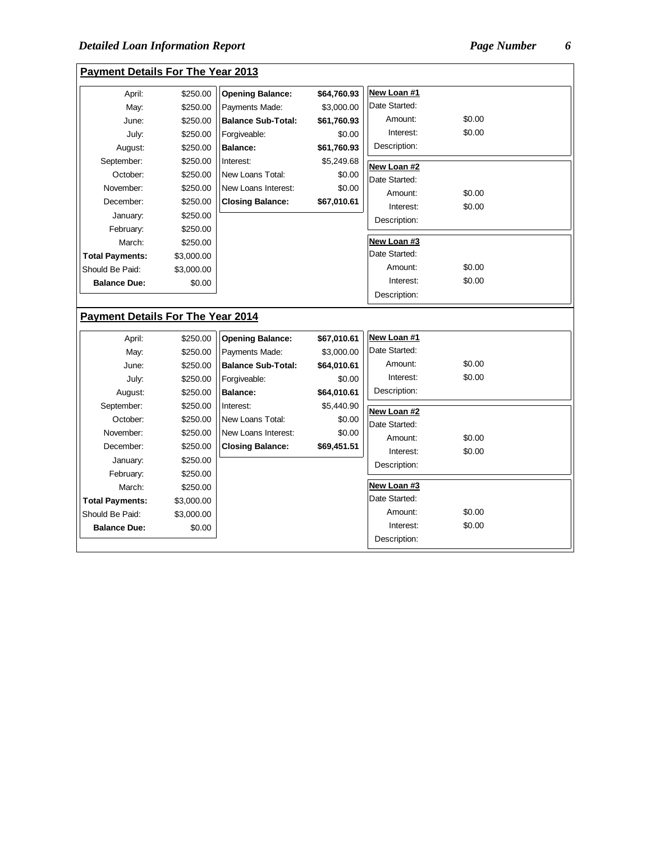$\overline{a}$ 

| <b>Payment Details For The Year 2013</b> |            |                           |             |               |        |  |
|------------------------------------------|------------|---------------------------|-------------|---------------|--------|--|
| April:                                   | \$250.00   | <b>Opening Balance:</b>   | \$64,760.93 | New Loan #1   |        |  |
| May:                                     | \$250.00   | Payments Made:            | \$3,000.00  | Date Started: |        |  |
| June:                                    | \$250.00   | <b>Balance Sub-Total:</b> | \$61,760.93 | Amount:       | \$0.00 |  |
| July:                                    | \$250.00   | Forgiveable:              | \$0.00      | Interest:     | \$0.00 |  |
| August:                                  | \$250.00   | <b>Balance:</b>           | \$61,760.93 | Description:  |        |  |
| September:                               | \$250.00   | Interest:                 | \$5,249.68  | New Loan #2   |        |  |
| October:                                 | \$250.00   | New Loans Total:          | \$0.00      | Date Started: |        |  |
| November:                                | \$250.00   | New Loans Interest:       | \$0.00      | Amount:       | \$0.00 |  |
| December:                                | \$250.00   | <b>Closing Balance:</b>   | \$67,010.61 | Interest:     | \$0.00 |  |
| January:                                 | \$250.00   |                           |             | Description:  |        |  |
| February:                                | \$250.00   |                           |             |               |        |  |
| March:                                   | \$250.00   |                           |             | New Loan #3   |        |  |
| <b>Total Payments:</b>                   | \$3,000.00 |                           |             | Date Started: |        |  |
| Should Be Paid:                          | \$3,000.00 |                           |             | Amount:       | \$0.00 |  |
| <b>Balance Due:</b>                      | \$0.00     |                           |             | Interest:     | \$0.00 |  |
|                                          |            |                           |             | Description:  |        |  |
| <b>Payment Details For The Year 2014</b> |            |                           |             |               |        |  |
| April:                                   | \$250.00   | <b>Opening Balance:</b>   | \$67,010.61 | New Loan #1   |        |  |
| May:                                     | \$250.00   | Payments Made:            | \$3,000.00  | Date Started: |        |  |
| June:                                    | \$250.00   | <b>Balance Sub-Total:</b> | \$64,010.61 | Amount:       | \$0.00 |  |
| July:                                    | \$250.00   | Forgiveable:              | \$0.00      | Interest:     | \$0.00 |  |
| August:                                  | \$250.00   | <b>Balance:</b>           | \$64,010.61 | Description:  |        |  |
| September:                               | \$250.00   | Interest:                 | \$5,440.90  | New Loan #2   |        |  |
| October:                                 | \$250.00   | New Loans Total:          | \$0.00      | Date Started: |        |  |
| November:                                | \$250.00   | New Loans Interest:       | \$0.00      | Amount:       | \$0.00 |  |
| December:                                | \$250.00   | <b>Closing Balance:</b>   | \$69,451.51 | Interest:     | \$0.00 |  |
| January:                                 | \$250.00   |                           |             | Description:  |        |  |
| February:                                | \$250.00   |                           |             |               |        |  |
| March:                                   | \$250.00   |                           |             | New Loan #3   |        |  |
| <b>Total Payments:</b>                   | \$3,000.00 |                           |             | Date Started: |        |  |
| Should Be Paid:                          | \$3,000.00 |                           |             | Amount:       | \$0.00 |  |
| <b>Balance Due:</b>                      | \$0.00     |                           |             | Interest:     | \$0.00 |  |
|                                          |            |                           |             | Description:  |        |  |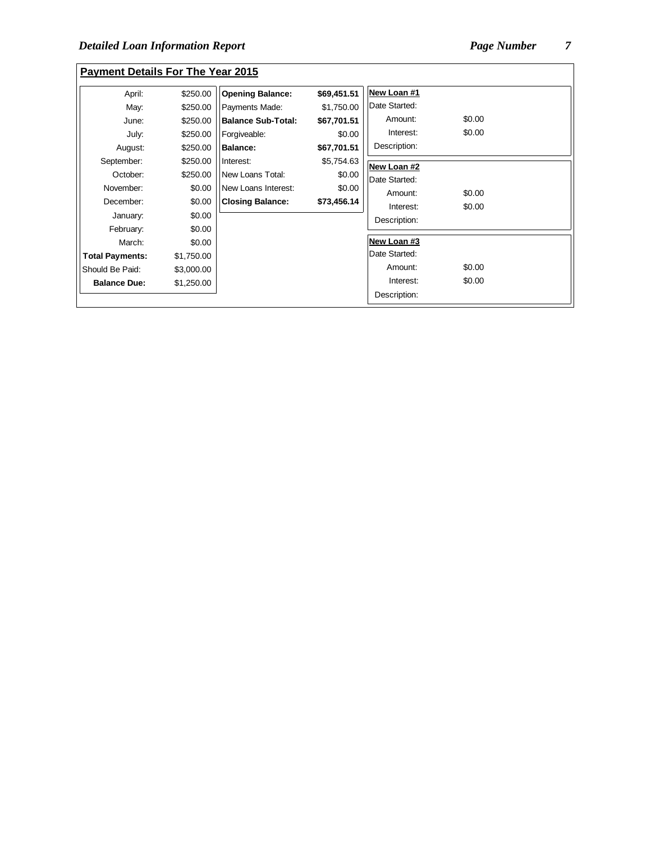| <b>Payment Details For The Year 2015</b> |            |                           |             |               |        |
|------------------------------------------|------------|---------------------------|-------------|---------------|--------|
| April:                                   | \$250.00   | <b>Opening Balance:</b>   | \$69,451.51 | New Loan #1   |        |
| May:                                     | \$250.00   | Payments Made:            | \$1,750.00  | Date Started: |        |
| June:                                    | \$250.00   | <b>Balance Sub-Total:</b> | \$67,701.51 | Amount:       | \$0.00 |
| July:                                    | \$250.00   | Forgiveable:              | \$0.00      | Interest:     | \$0.00 |
| August:                                  | \$250.00   | <b>Balance:</b>           | \$67,701.51 | Description:  |        |
| September:                               | \$250.00   | Interest:                 | \$5,754.63  | New Loan #2   |        |
| October:                                 | \$250.00   | New Loans Total:          | \$0.00      | Date Started: |        |
| November:                                | \$0.00     | New Loans Interest:       | \$0.00      | Amount:       | \$0.00 |
| December:                                | \$0.00     | <b>Closing Balance:</b>   | \$73,456.14 | Interest:     | \$0.00 |
| January:                                 | \$0.00     |                           |             | Description:  |        |
| February:                                | \$0.00     |                           |             |               |        |
| March:                                   | \$0.00     |                           |             | New Loan #3   |        |
| <b>Total Payments:</b>                   | \$1,750.00 |                           |             | Date Started: |        |
| Should Be Paid:                          | \$3,000.00 |                           |             | Amount:       | \$0.00 |
| <b>Balance Due:</b>                      | \$1,250.00 |                           |             | Interest:     | \$0.00 |
|                                          |            |                           |             | Description:  |        |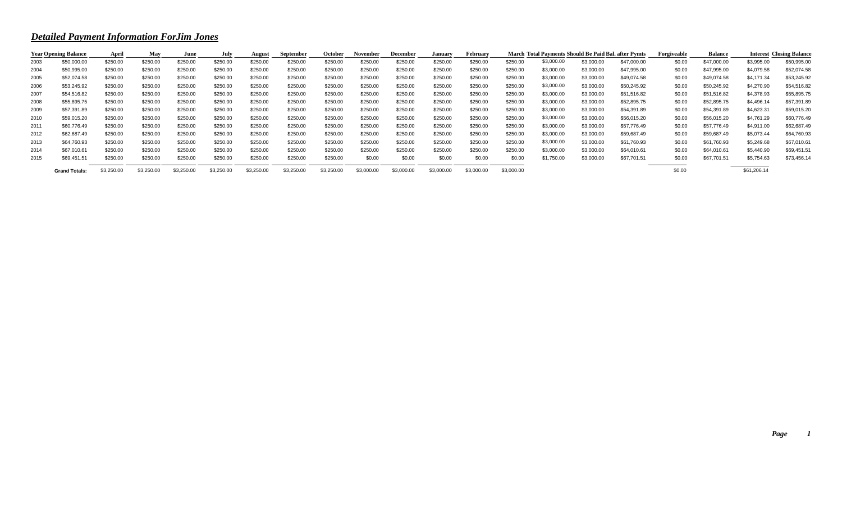## *Detailed Payment Information ForJim Jones*

|      | <b>Year Opening Balance</b> | April      | May        | June       | July       | August     | September  | <b>October</b> | November   | December   | January    | February   |            | March Total Payments Should Be Paid Bal. after Pymts |            |             | Forgiveable | <b>Balance</b> |             | <b>Interest Closing Balance</b> |
|------|-----------------------------|------------|------------|------------|------------|------------|------------|----------------|------------|------------|------------|------------|------------|------------------------------------------------------|------------|-------------|-------------|----------------|-------------|---------------------------------|
| 2003 | \$50,000.00                 | \$250.00   | \$250.00   | \$250.00   | \$250.00   | \$250.00   | \$250.00   | \$250.00       | \$250.00   | \$250.00   | \$250.00   | \$250.00   | \$250.00   | \$3,000.00                                           | \$3,000.00 | \$47,000.00 | \$0.00      | \$47,000.00    | \$3,995.00  | \$50,995.00                     |
| 2004 | \$50,995.00                 | \$250.00   | \$250.00   | \$250.00   | \$250.00   | \$250.00   | \$250.00   | \$250.00       | \$250.00   | \$250.00   | \$250.00   | \$250.00   | \$250.00   | \$3,000.00                                           | \$3,000.00 | \$47,995.00 | \$0.00      | \$47,995.00    | \$4,079.58  | \$52,074.58                     |
| 2005 | \$52,074.58                 | \$250.00   | \$250.00   | \$250.00   | \$250.00   | \$250.00   | \$250.00   | \$250.00       | \$250.00   | \$250.00   | \$250.00   | \$250.00   | \$250.00   | \$3,000.00                                           | \$3,000.00 | \$49,074.58 | \$0.00      | \$49,074.58    | \$4,171.34  | \$53,245.92                     |
| 2006 | \$53,245.92                 | \$250.00   | \$250.00   | \$250.00   | \$250.00   | \$250.00   | \$250.00   | \$250.00       | \$250.00   | \$250.00   | \$250.00   | \$250.00   | \$250.00   | \$3,000.00                                           | \$3,000.00 | \$50,245.92 | \$0.00      | \$50,245.92    | \$4,270.90  | \$54,516.82                     |
| 2007 | \$54,516.82                 | \$250.00   | \$250.00   | \$250.00   | \$250.00   | \$250.00   | \$250.00   | \$250.00       | \$250.00   | \$250.00   | \$250.00   | \$250.00   | \$250.00   | \$3,000.00                                           | \$3,000.00 | \$51,516.82 | \$0.00      | \$51,516.82    | \$4,378.93  | \$55,895.75                     |
| 2008 | \$55,895.75                 | \$250.00   | \$250.00   | \$250.00   | \$250.00   | \$250.00   | \$250.00   | \$250.00       | \$250.00   | \$250.00   | \$250.00   | \$250.00   | \$250.00   | \$3,000.00                                           | \$3,000.00 | \$52,895.75 | \$0.00      | \$52,895.75    | \$4,496.14  | \$57,391.89                     |
| 2009 | \$57,391.89                 | \$250.00   | \$250.00   | \$250.00   | \$250.00   | \$250.00   | \$250.00   | \$250.00       | \$250.00   | \$250.00   | \$250.00   | \$250.00   | \$250.00   | \$3,000.00                                           | \$3,000.00 | \$54,391.89 | \$0.00      | \$54,391.89    | \$4,623.31  | \$59,015.20                     |
| 2010 | \$59,015.20                 | \$250.00   | \$250.00   | \$250.00   | \$250.00   | \$250.00   | \$250.00   | \$250.00       | \$250.00   | \$250.00   | \$250.00   | \$250.00   | \$250.00   | \$3,000.00                                           | \$3,000.00 | \$56,015.20 | \$0.00      | \$56,015.20    | \$4,761.29  | \$60,776.49                     |
| 2011 | \$60,776.49                 | \$250.00   | \$250.00   | \$250.00   | \$250.00   | \$250.00   | \$250.00   | \$250.00       | \$250.00   | \$250.00   | \$250.00   | \$250.00   | \$250.00   | \$3,000.00                                           | \$3,000.00 | \$57,776.49 | \$0.00      | \$57,776.49    | \$4,911.00  | \$62,687.49                     |
| 2012 | \$62,687.49                 | \$250.00   | \$250.00   | \$250.00   | \$250.00   | \$250.00   | \$250.00   | \$250.00       | \$250.00   | \$250.00   | \$250.00   | \$250.00   | \$250.00   | \$3,000.00                                           | \$3,000.00 | \$59,687.49 | \$0.00      | \$59,687.49    | \$5,073.44  | \$64,760.93                     |
| 2013 | \$64,760.93                 | \$250.00   | \$250.00   | \$250.00   | \$250.00   | \$250.00   | \$250.00   | \$250.00       | \$250.00   | \$250.00   | \$250.00   | \$250.00   | \$250.00   | \$3,000.00                                           | \$3,000.00 | \$61,760.93 | \$0.00      | \$61,760.93    | \$5,249.68  | \$67,010.61                     |
| 2014 | \$67,010.61                 | \$250.00   | \$250.00   | \$250.00   | \$250.00   | \$250.00   | \$250.00   | \$250.00       | \$250.00   | \$250.00   | \$250.00   | \$250.00   | \$250.00   | \$3,000.00                                           | \$3,000.00 | \$64,010.61 | \$0.00      | \$64,010.61    | \$5,440.90  | \$69,451.51                     |
| 2015 | \$69,451.51                 | \$250.00   | \$250.00   | \$250.00   | \$250.00   | \$250.00   | \$250.00   | \$250.00       | \$0.00     | \$0.00     | \$0.00     | \$0.00     | \$0.00     | \$1,750.00                                           | \$3,000.00 | \$67,701.51 | \$0.00      | \$67,701.51    | \$5,754.63  | \$73,456.14                     |
|      | <b>Grand Totals:</b>        | \$3,250.00 | \$3,250.00 | \$3,250.00 | \$3,250.00 | \$3,250.00 | \$3,250.00 | \$3,250.00     | \$3,000.00 | \$3,000.00 | \$3,000.00 | \$3,000.00 | \$3,000.00 |                                                      |            |             | \$0.00      |                | \$61,206.14 |                                 |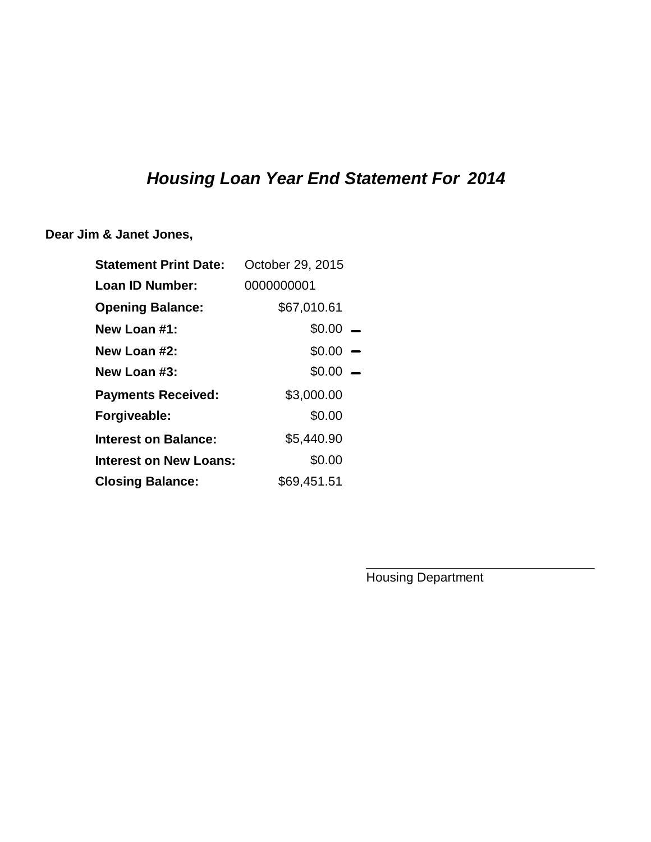## *Housing Loan Year End Statement For 2014*

**Dear Jim & Janet Jones,**

| <b>Statement Print Date:</b> | October 29, 2015 |  |
|------------------------------|------------------|--|
| Loan ID Number:              | 0000000001       |  |
| <b>Opening Balance:</b>      | \$67,010.61      |  |
| New Loan #1:                 | $$0.00 -$        |  |
| New Loan #2:                 | $$0.00 -$        |  |
| New Loan #3:                 | \$0.00           |  |
| <b>Payments Received:</b>    | \$3,000.00       |  |
| Forgiveable:                 | \$0.00           |  |
| Interest on Balance:         | \$5,440.90       |  |
| Interest on New Loans:       | \$0.00           |  |
| <b>Closing Balance:</b>      | \$69,451.51      |  |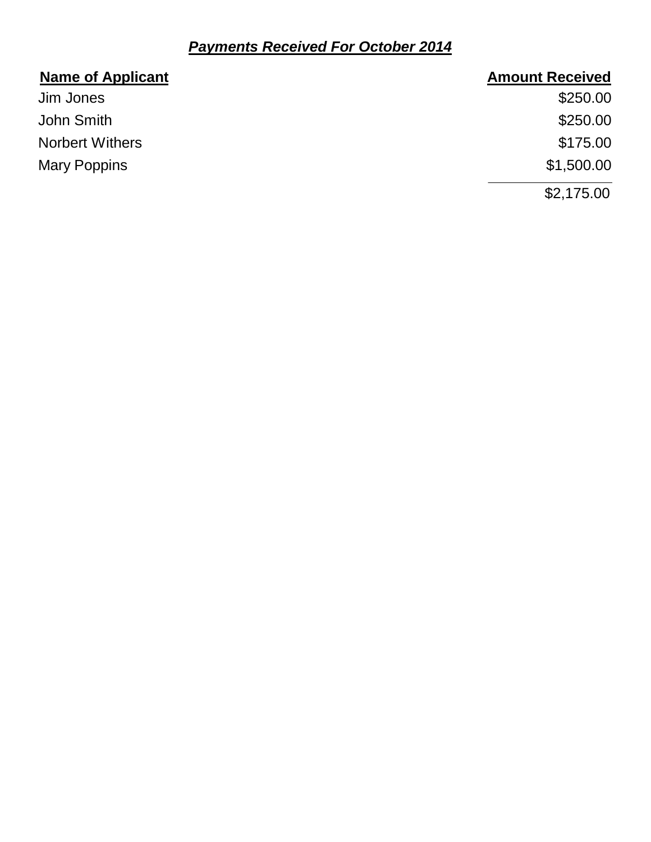## *Payments Received For October 2014*

| <b>Name of Applicant</b> | <b>Amount Received</b> |
|--------------------------|------------------------|
| Jim Jones                | \$250.00               |
| John Smith               | \$250.00               |
| <b>Norbert Withers</b>   | \$175.00               |
| <b>Mary Poppins</b>      | \$1,500.00             |
|                          | \$2,175.00             |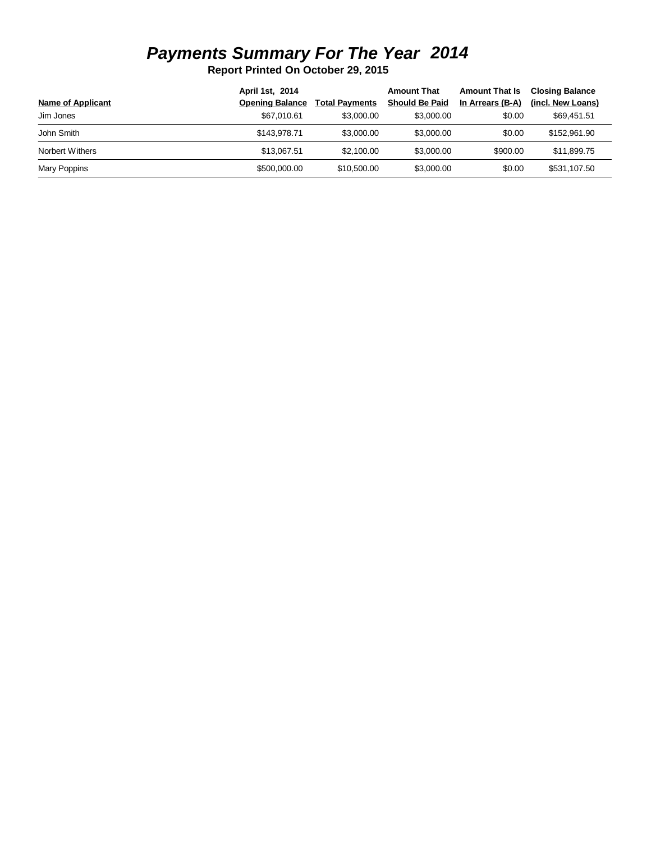## *Payments Summary For The Year 2014*

**Report Printed On October 29, 2015**

|                   | April 1st, 2014        |                       | <b>Amount That</b>    | <b>Amount That Is</b> | <b>Closing Balance</b> |
|-------------------|------------------------|-----------------------|-----------------------|-----------------------|------------------------|
| Name of Applicant | <b>Opening Balance</b> | <b>Total Payments</b> | <b>Should Be Paid</b> | In Arrears (B-A)      | (incl. New Loans)      |
| Jim Jones         | \$67.010.61            | \$3,000.00            | \$3,000,00            | \$0.00                | \$69.451.51            |
| John Smith        | \$143.978.71           | \$3,000.00            | \$3,000,00            | \$0.00                | \$152,961,90           |
| Norbert Withers   | \$13.067.51            | \$2,100,00            | \$3,000.00            | \$900.00              | \$11,899.75            |
| Mary Poppins      | \$500,000,00           | \$10,500,00           | \$3,000,00            | \$0.00                | \$531.107.50           |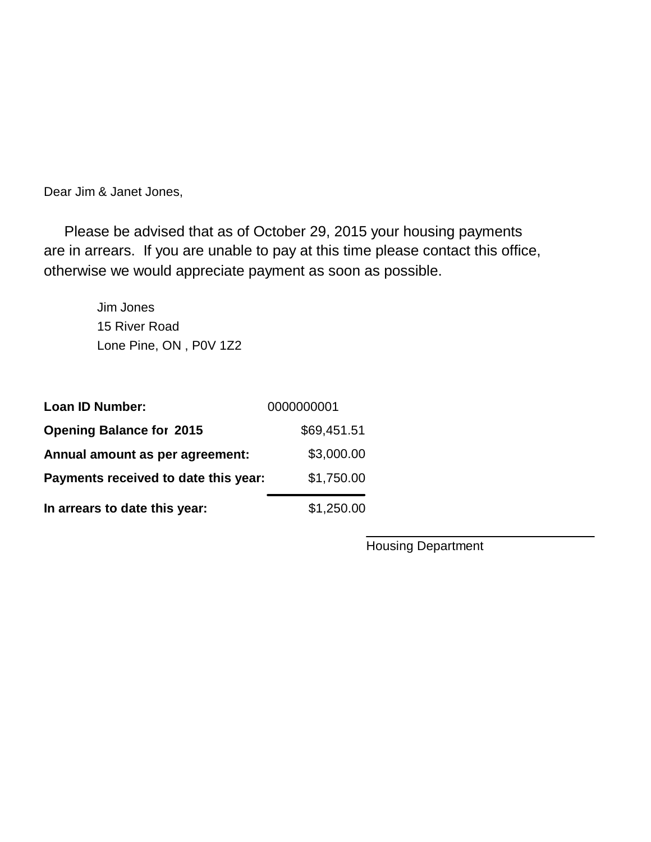Dear Jim & Janet Jones,

 Please be advised that as of October 29, 2015 your housing payments are in arrears. If you are unable to pay at this time please contact this office, otherwise we would appreciate payment as soon as possible.

> 15 River Road Jim Jones Lone Pine, ON , P0V 1Z2

| <b>Loan ID Number:</b>               | 0000000001  |
|--------------------------------------|-------------|
| <b>Opening Balance for 2015</b>      | \$69,451.51 |
| Annual amount as per agreement:      | \$3,000.00  |
| Payments received to date this year: | \$1,750.00  |
| In arrears to date this year:        | \$1,250.00  |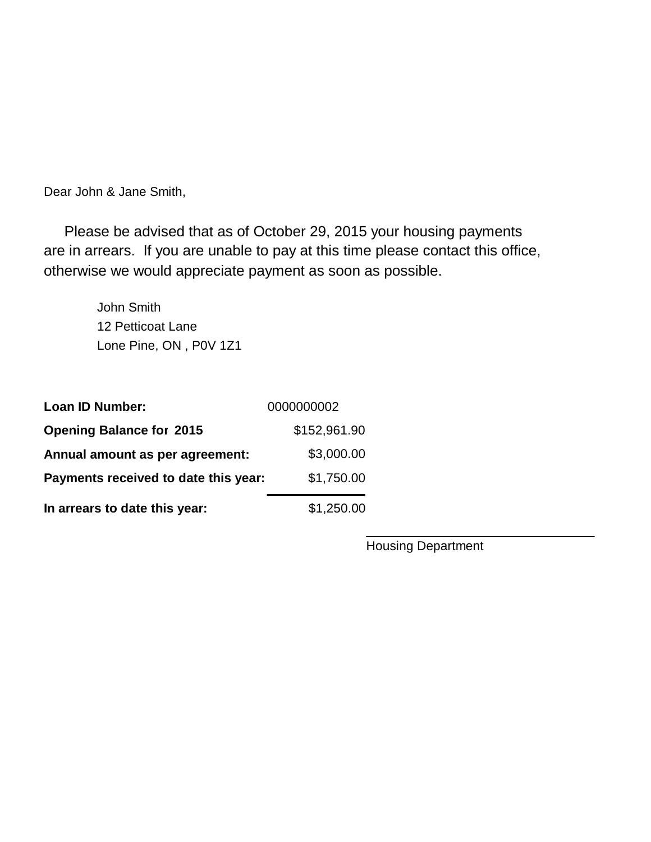Dear John & Jane Smith,

 Please be advised that as of October 29, 2015 your housing payments are in arrears. If you are unable to pay at this time please contact this office, otherwise we would appreciate payment as soon as possible.

> 12 Petticoat Lane John Smith Lone Pine, ON , P0V 1Z1

| <b>Loan ID Number:</b>               | 0000000002   |
|--------------------------------------|--------------|
| <b>Opening Balance for 2015</b>      | \$152,961.90 |
| Annual amount as per agreement:      | \$3,000.00   |
| Payments received to date this year: | \$1,750.00   |
| In arrears to date this year:        | \$1,250.00   |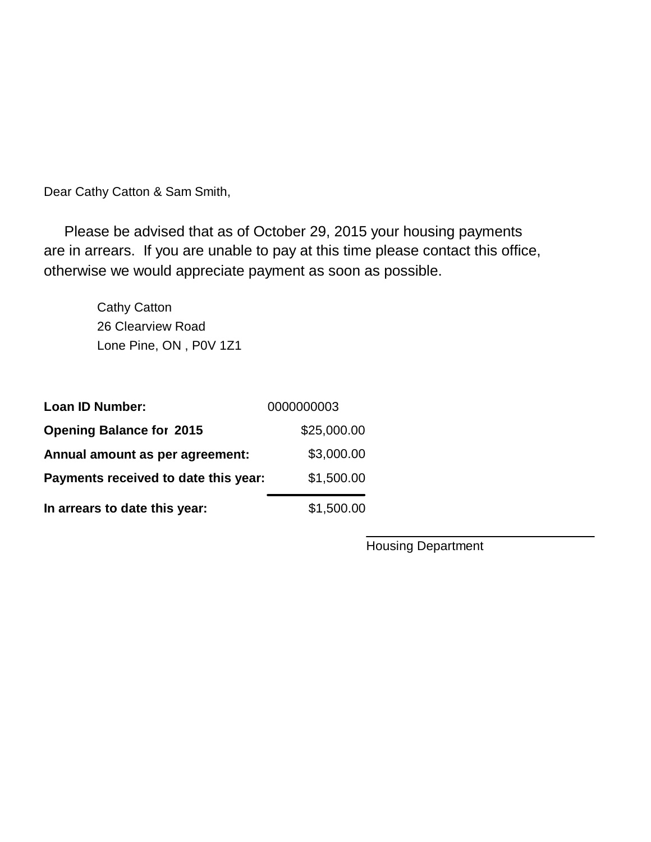Dear Cathy Catton & Sam Smith,

 Please be advised that as of October 29, 2015 your housing payments are in arrears. If you are unable to pay at this time please contact this office, otherwise we would appreciate payment as soon as possible.

> 26 Clearview Road Cathy Catton Lone Pine, ON , P0V 1Z1

| <b>Loan ID Number:</b>               | 0000000003  |
|--------------------------------------|-------------|
| <b>Opening Balance for 2015</b>      | \$25,000.00 |
| Annual amount as per agreement:      | \$3,000.00  |
| Payments received to date this year: | \$1,500.00  |
| In arrears to date this year:        | \$1,500.00  |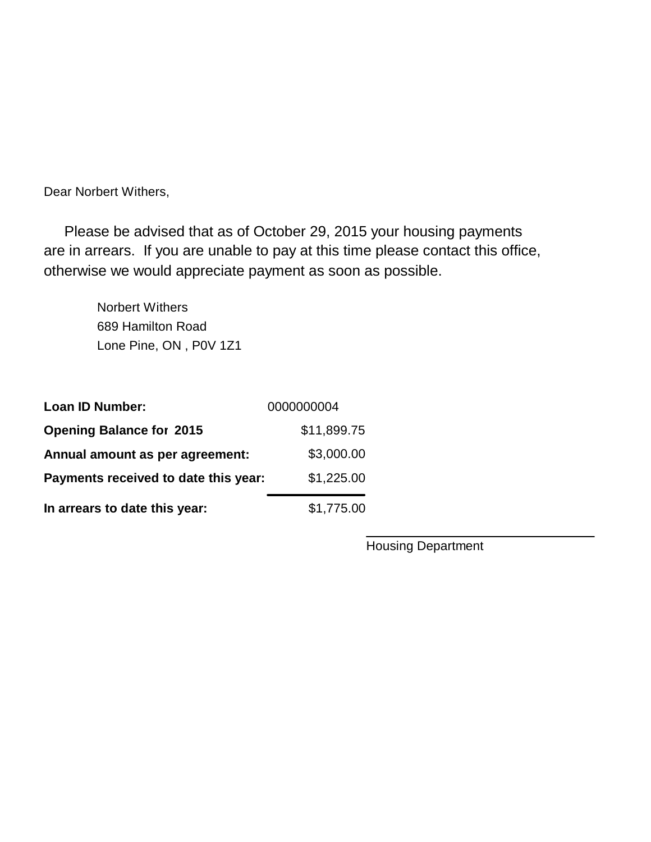Dear Norbert Withers,

 Please be advised that as of October 29, 2015 your housing payments are in arrears. If you are unable to pay at this time please contact this office, otherwise we would appreciate payment as soon as possible.

> 689 Hamilton Road Norbert Withers Lone Pine, ON , P0V 1Z1

| <b>Loan ID Number:</b>               | 0000000004  |
|--------------------------------------|-------------|
| <b>Opening Balance for 2015</b>      | \$11,899.75 |
| Annual amount as per agreement:      | \$3,000.00  |
| Payments received to date this year: | \$1,225.00  |
| In arrears to date this year:        | \$1,775.00  |